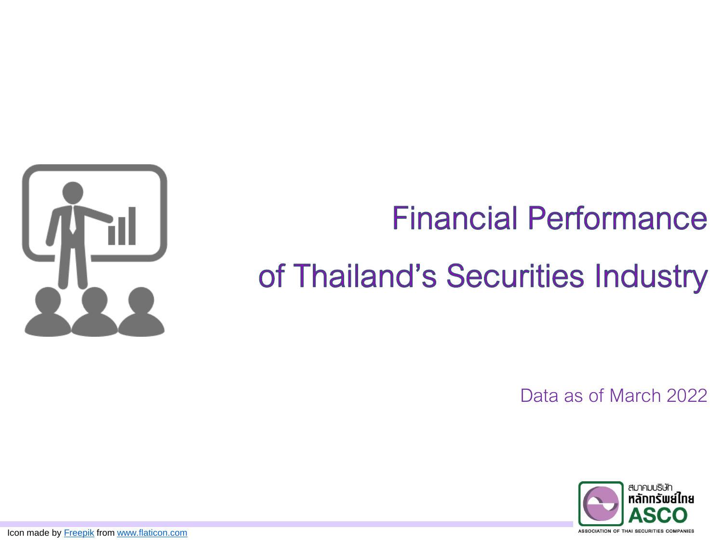

## **Financial Performance**

# of Thailand's Securities Industry

Data as of March 2022



Icon made by [Freepik](http://www.freepik.com/) from [www.flaticon.com](http://www.flaticon.com/)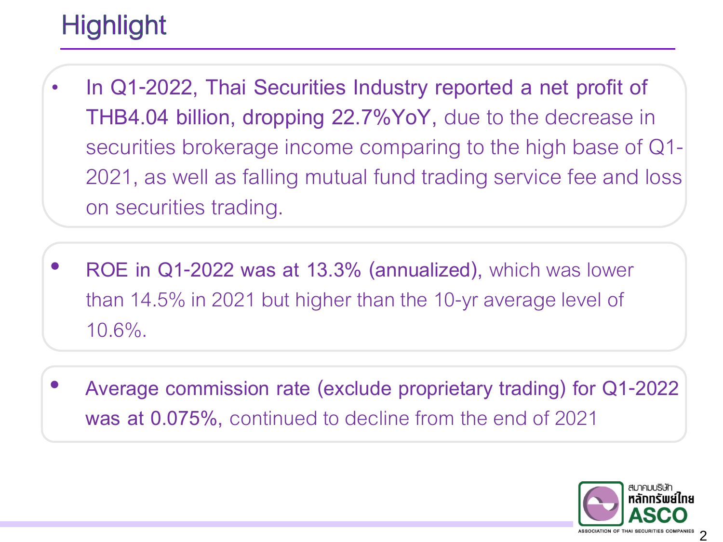### **Highlight**

- **In Q1-2022, Thai Securities Industry reported a net profit of THB4.04 billion, dropping 22.7%YoY,** due to the decrease in securities brokerage income comparing to the high base of Q1- 2021, as well as falling mutual fund trading service fee and loss on securities trading.
- **ROE in Q1-2022 was at 13.3% (annualized),** which was lower than 14.5% in 2021 but higher than the 10-yr average level of 10.6%.
- **Average commission rate (exclude proprietary trading) for Q1-2022 was at 0.075%,** continued to decline from the end of 2021

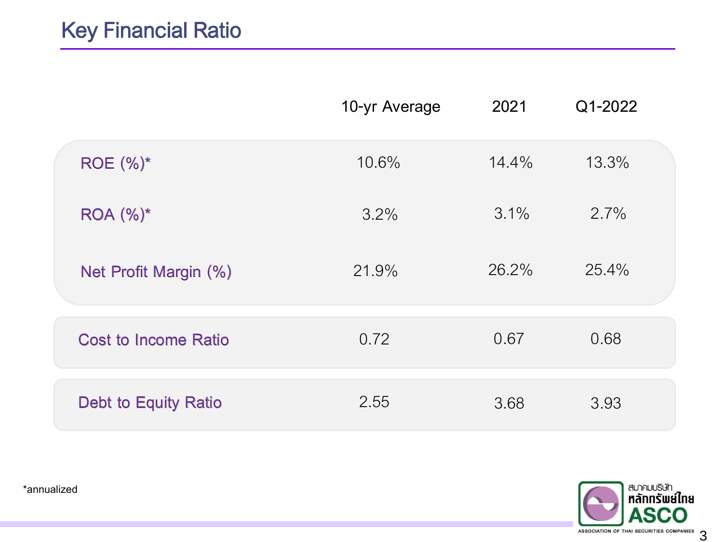|                             | 10-yr Average | 2021     | Q1-2022 |  |
|-----------------------------|---------------|----------|---------|--|
| $ROE (%)^*$                 | 10.6%         | $14.4\%$ | 13.3%   |  |
| $ROA (%)^*$                 | 3.2%          | $3.1\%$  | 2.7%    |  |
| Net Profit Margin (%)       | 21.9%         | 26.2%    | 25.4%   |  |
| <b>Cost to Income Ratio</b> | 0.72          | 0.67     | 0.68    |  |
| Debt to Equity Ratio        | 2.55          | 3.68     | 3.93    |  |



\*annualized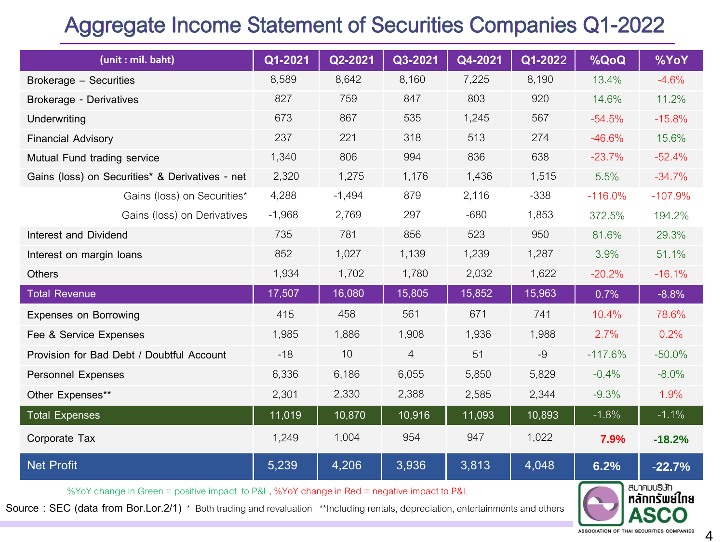### **Aggregate Income Statement of Securities Companies Q1-2022**

| (unit: mil. baht)                                                                          | Q1-2021  | Q2-2021  | Q3-2021        | Q4-2021 | Q1-2022 | %QoQ      | %YoY                     |
|--------------------------------------------------------------------------------------------|----------|----------|----------------|---------|---------|-----------|--------------------------|
| Brokerage - Securities                                                                     | 8,589    | 8,642    | 8,160          | 7,225   | 8,190   | 13.4%     | $-4.6%$                  |
| Brokerage - Derivatives                                                                    | 827      | 759      | 847            | 803     | 920     | 14.6%     | 11.2%                    |
| Underwriting                                                                               | 673      | 867      | 535            | 1,245   | 567     | $-54.5%$  | $-15.8%$                 |
| <b>Financial Advisory</b>                                                                  | 237      | 221      | 318            | 513     | 274     | $-46.6%$  | 15.6%                    |
| Mutual Fund trading service                                                                | 1,340    | 806      | 994            | 836     | 638     | $-23.7%$  | $-52.4%$                 |
| Gains (loss) on Securities* & Derivatives - net                                            | 2,320    | 1,275    | 1,176          | 1,436   | 1,515   | 5.5%      | $-34.7%$                 |
| Gains (loss) on Securities*                                                                | 4,288    | $-1,494$ | 879            | 2,116   | $-338$  | $-116.0%$ | $-107.9%$                |
| Gains (loss) on Derivatives                                                                | $-1,968$ | 2,769    | 297            | $-680$  | 1,853   | 372.5%    | 194.2%                   |
| Interest and Dividend                                                                      | 735      | 781      | 856            | 523     | 950     | 81.6%     | 29.3%                    |
| Interest on margin loans                                                                   | 852      | 1,027    | 1,139          | 1,239   | 1,287   | 3.9%      | 51.1%                    |
| <b>Others</b>                                                                              | 1,934    | 1,702    | 1,780          | 2,032   | 1,622   | $-20.2%$  | $-16.1%$                 |
| <b>Total Revenue</b>                                                                       | 17,507   | 16,080   | 15,805         | 15,852  | 15,963  | 0.7%      | $-8.8%$                  |
| <b>Expenses on Borrowing</b>                                                               | 415      | 458      | 561            | 671     | 741     | 10.4%     | 78.6%                    |
| Fee & Service Expenses                                                                     | 1,985    | 1,886    | 1,908          | 1,936   | 1,988   | 2.7%      | 0.2%                     |
| Provision for Bad Debt / Doubtful Account                                                  | $-18$    | 10       | $\overline{4}$ | 51      | $-9$    | $-117.6%$ | $-50.0%$                 |
| <b>Personnel Expenses</b>                                                                  | 6,336    | 6,186    | 6,055          | 5,850   | 5,829   | $-0.4%$   | $-8.0\%$                 |
| Other Expenses**                                                                           | 2,301    | 2,330    | 2,388          | 2,585   | 2,344   | $-9.3%$   | 1.9%                     |
| <b>Total Expenses</b>                                                                      | 11,019   | 10,870   | 10,916         | 11,093  | 10,893  | $-1.8%$   | $-1.1%$                  |
| Corporate Tax                                                                              | 1,249    | 1,004    | 954            | 947     | 1,022   | 7.9%      | $-18.2%$                 |
| <b>Net Profit</b>                                                                          | 5,239    | 4,206    | 3,936          | 3,813   | 4,048   | 6.2%      | $-22.7%$                 |
| %YoY change in Green = positive impact to P&L, %YoY change in Red = negative impact to P&L |          |          |                |         |         |           | สมาคมบริษัท<br>stončmdna |

Source: SEC (data from Bor.Lor.2/1) \* Both trading and revaluation \*\*Including rentals, depreciation, entertainments and others

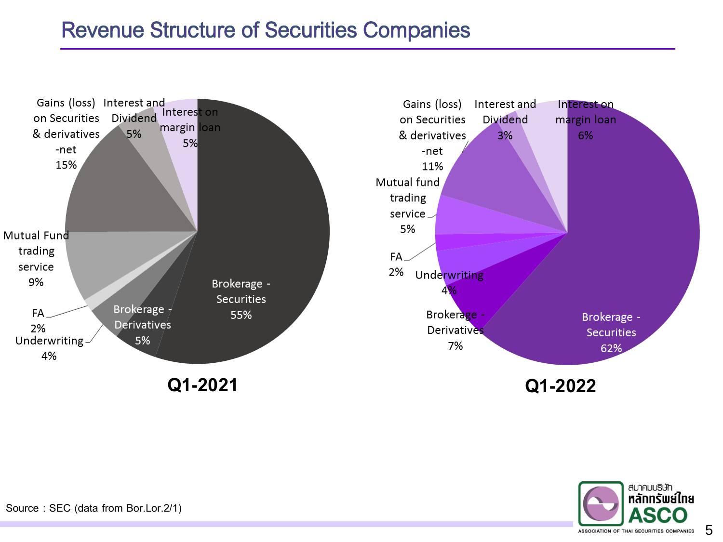#### **Revenue Structure of Securities Companies**



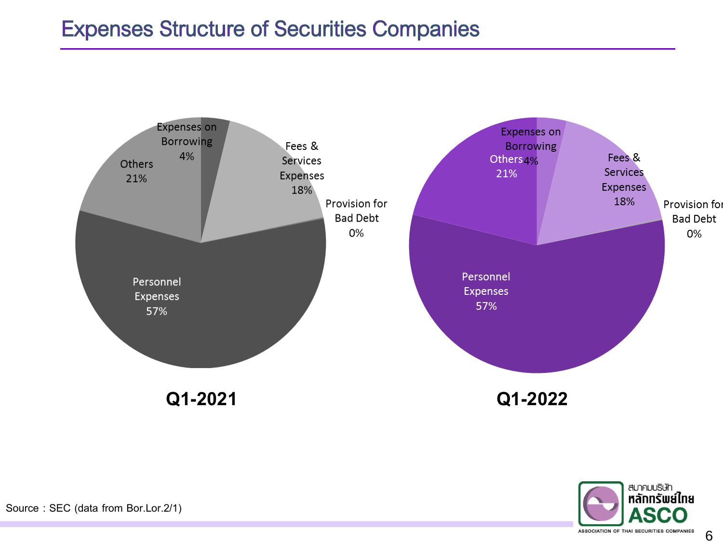#### **Expenses Structure of Securities Companies**



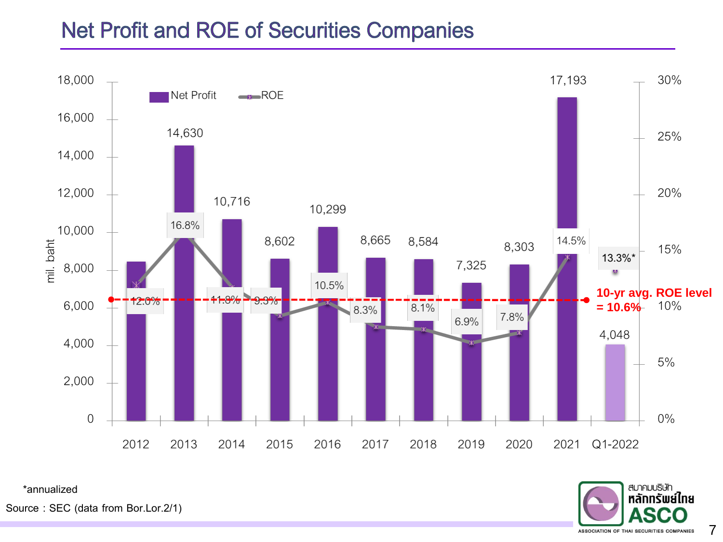#### **Net Profit and ROE of Securities Companies**



\*annualized

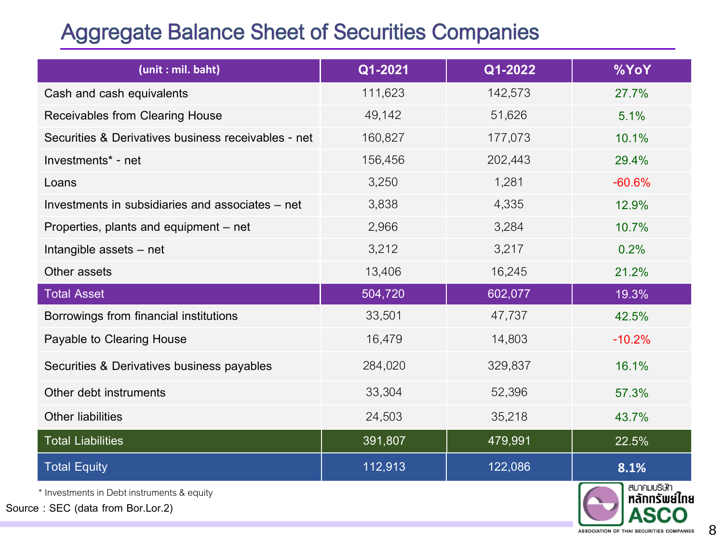#### **Aggregate Balance Sheet of Securities Companies**

| (unit: mil. baht)                                   | Q1-2021 | Q1-2022 | %YoY                |
|-----------------------------------------------------|---------|---------|---------------------|
| Cash and cash equivalents                           | 111,623 | 142,573 | 27.7%               |
| Receivables from Clearing House                     | 49,142  | 51,626  | 5.1%                |
| Securities & Derivatives business receivables - net | 160,827 | 177,073 | 10.1%               |
| Investments* - net                                  | 156,456 | 202,443 | 29.4%               |
| Loans                                               | 3,250   | 1,281   | $-60.6%$            |
| Investments in subsidiaries and associates – net    | 3,838   | 4,335   | 12.9%               |
| Properties, plants and equipment – net              | 2,966   | 3,284   | 10.7%               |
| Intangible assets - net                             | 3,212   | 3,217   | 0.2%                |
| Other assets                                        | 13,406  | 16,245  | 21.2%               |
| <b>Total Asset</b>                                  | 504,720 | 602,077 | 19.3%               |
| Borrowings from financial institutions              | 33,501  | 47,737  | 42.5%               |
| Payable to Clearing House                           | 16,479  | 14,803  | $-10.2%$            |
| Securities & Derivatives business payables          | 284,020 | 329,837 | 16.1%               |
| Other debt instruments                              | 33,304  | 52,396  | 57.3%               |
| <b>Other liabilities</b>                            | 24,503  | 35,218  | 43.7%               |
| <b>Total Liabilities</b>                            | 391,807 | 479,991 | 22.5%               |
| <b>Total Equity</b>                                 | 112,913 | 122,086 | 8.1%<br>สเทคเแริเมา |

\* Investments in Debt instruments & equity

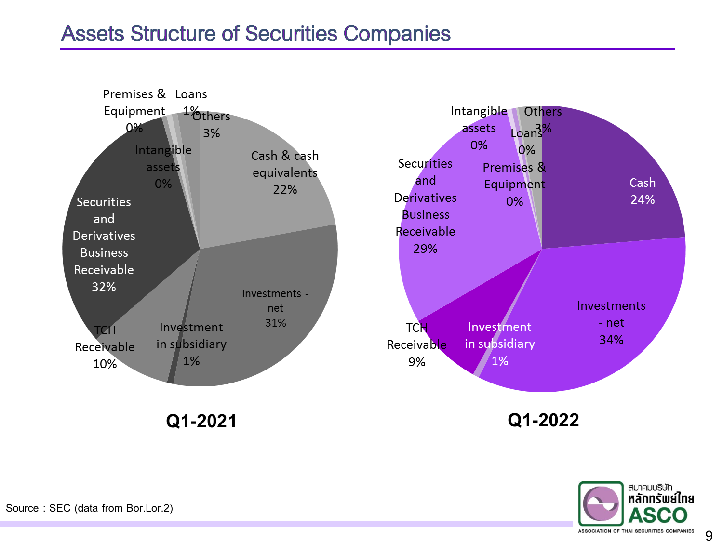#### **Assets Structure of Securities Companies**



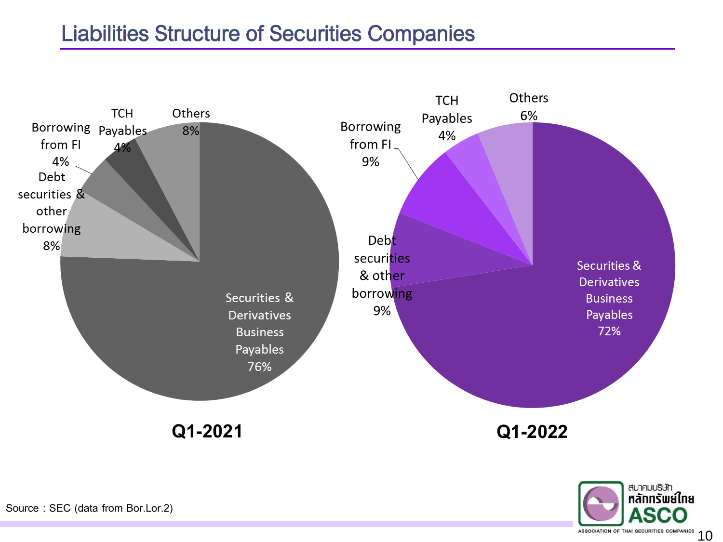#### **Liabilities Structure of Securities Companies**



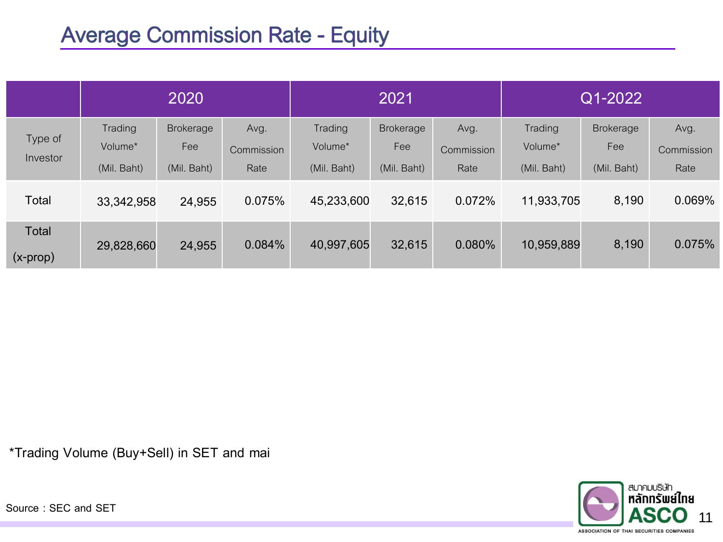#### **Average Commission Rate - Equity**

|                         | 2020                              |                                        |                            | 2021                              |                                 |                            | Q1-2022                           |                                        |                            |
|-------------------------|-----------------------------------|----------------------------------------|----------------------------|-----------------------------------|---------------------------------|----------------------------|-----------------------------------|----------------------------------------|----------------------------|
| Type of<br>Investor     | Trading<br>Volume*<br>(Mil. Baht) | <b>Brokerage</b><br>Fee<br>(Mil. Baht) | Avg.<br>Commission<br>Rate | Trading<br>Volume*<br>(Mil. Baht) | Brokerage<br>Fee<br>(Mil. Baht) | Avg.<br>Commission<br>Rate | Trading<br>Volume*<br>(Mil. Baht) | <b>Brokerage</b><br>Fee<br>(Mil. Baht) | Avg.<br>Commission<br>Rate |
| Total                   | 33,342,958                        | 24,955                                 | 0.075%                     | 45,233,600                        | 32,615                          | 0.072%                     | 11,933,705                        | 8,190                                  | 0.069%                     |
| Total<br>$(x$ -prop $)$ | 29,828,660                        | 24,955                                 | $0.084\%$                  | 40,997,605                        | 32,615                          | $0.080\%$                  | 10,959,889                        | 8,190                                  | 0.075%                     |

\*Trading Volume (Buy+Sell) in SET and mai

Source : SEC and SET

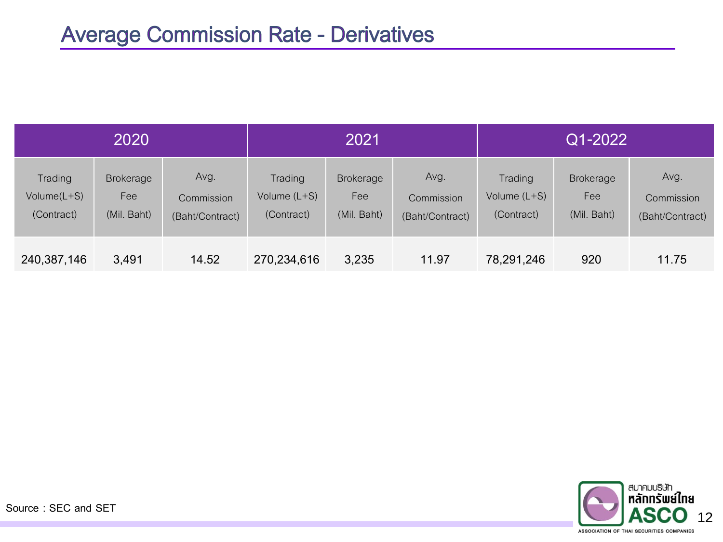| 2020                                    |                                        |                                       | 2021                                    |                                        |                                       | Q1-2022                                 |                                        |                                       |  |
|-----------------------------------------|----------------------------------------|---------------------------------------|-----------------------------------------|----------------------------------------|---------------------------------------|-----------------------------------------|----------------------------------------|---------------------------------------|--|
| Trading<br>Volume $(L+S)$<br>(Contract) | <b>Brokerage</b><br>Fee<br>(Mil. Baht) | Avg.<br>Commission<br>(Baht/Contract) | Trading<br>Volume $(L+S)$<br>(Contract) | <b>Brokerage</b><br>Fee<br>(Mil. Baht) | Avg.<br>Commission<br>(Baht/Contract) | Trading<br>Volume $(L+S)$<br>(Contract) | <b>Brokerage</b><br>Fee<br>(Mil. Baht) | Avg.<br>Commission<br>(Baht/Contract) |  |
| 240,387,146                             | 3,491                                  | 14.52                                 | 270,234,616                             | 3,235                                  | 11.97                                 | 78,291,246                              | 920                                    | 11.75                                 |  |



Source : SEC and SET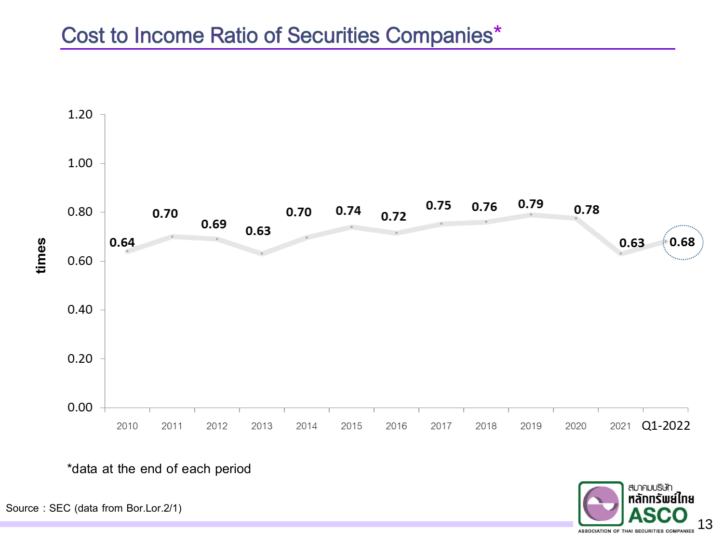#### Cost to Income Ratio of Securities Companies\*



\*data at the end of each period

สมาคมบริษัท ็หลักทรัพย์ใทย 13 ASSOCIATION OF THAI SECURITIES COMPANIES